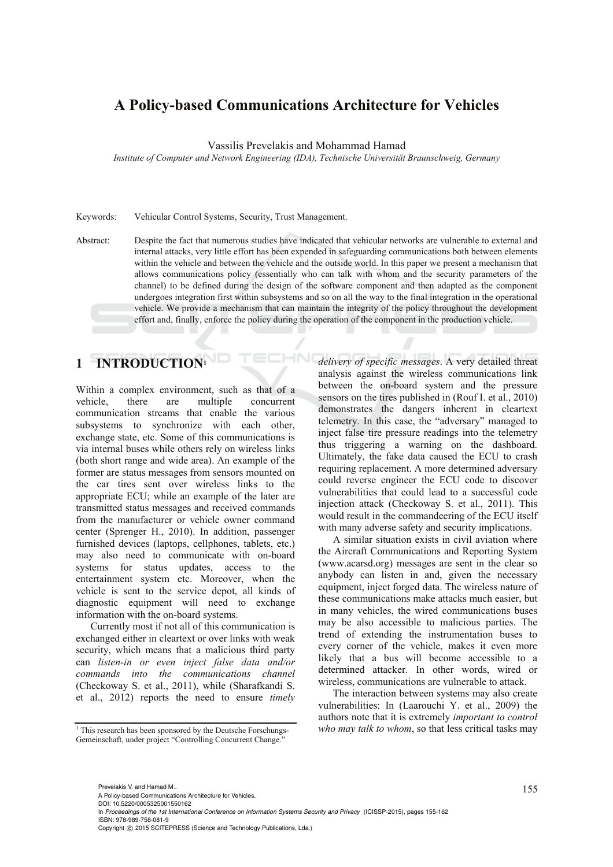### **A Policy-based Communications Architecture for Vehicles**

Vassilis Prevelakis and Mohammad Hamad

*Institute of Computer and Network Engineering (IDA), Technische Universität Braunschweig, Germany* 

Keywords: Vehicular Control Systems, Security, Trust Management.

Abstract: Despite the fact that numerous studies have indicated that vehicular networks are vulnerable to external and internal attacks, very little effort has been expended in safeguarding communications both between elements within the vehicle and between the vehicle and the outside world. In this paper we present a mechanism that allows communications policy (essentially who can talk with whom and the security parameters of the channel) to be defined during the design of the software component and then adapted as the component undergoes integration first within subsystems and so on all the way to the final integration in the operational vehicle. We provide a mechanism that can maintain the integrity of the policy throughout the development effort and, finally, enforce the policy during the operation of the component in the production vehicle.

## **1 INTRODUCTION1**

Within a complex environment, such as that of a vehicle, there are multiple concurrent communication streams that enable the various subsystems to synchronize with each other, exchange state, etc. Some of this communications is via internal buses while others rely on wireless links (both short range and wide area). An example of the former are status messages from sensors mounted on the car tires sent over wireless links to the appropriate ECU; while an example of the later are transmitted status messages and received commands from the manufacturer or vehicle owner command center (Sprenger H., 2010). In addition, passenger furnished devices (laptops, cellphones, tablets, etc.) may also need to communicate with on-board systems for status updates, access to the entertainment system etc. Moreover, when the vehicle is sent to the service depot, all kinds of diagnostic equipment will need to exchange information with the on-board systems.

Currently most if not all of this communication is exchanged either in cleartext or over links with weak security, which means that a malicious third party can *listen-in or even inject false data and/or commands into the communications channel* (Checkoway S. et al., 2011), while (Sharafkandi S. et al., 2012) reports the need to ensure *timely* 

*delivery of specific messages*. A very detailed threat analysis against the wireless communications link between the on-board system and the pressure sensors on the tires published in (Rouf I. et al., 2010) demonstrates the dangers inherent in cleartext telemetry. In this case, the "adversary" managed to inject false tire pressure readings into the telemetry thus triggering a warning on the dashboard. Ultimately, the fake data caused the ECU to crash requiring replacement. A more determined adversary could reverse engineer the ECU code to discover vulnerabilities that could lead to a successful code injection attack (Checkoway S. et al., 2011). This would result in the commandeering of the ECU itself with many adverse safety and security implications.

A similar situation exists in civil aviation where the Aircraft Communications and Reporting System (www.acarsd.org) messages are sent in the clear so anybody can listen in and, given the necessary equipment, inject forged data. The wireless nature of these communications make attacks much easier, but in many vehicles, the wired communications buses may be also accessible to malicious parties. The trend of extending the instrumentation buses to every corner of the vehicle, makes it even more likely that a bus will become accessible to a determined attacker. In other words, wired or wireless, communications are vulnerable to attack.

The interaction between systems may also create vulnerabilities: In (Laarouchi Y. et al., 2009) the authors note that it is extremely *important to control who may talk to whom*, so that less critical tasks may

155 Prevelakis V. and Hamad M.. A Policy-based Communications Architecture for Vehicles.

DOI: 10.5220/0005325001550162

In *Proceedings of the 1st International Conference on Information Systems Security and Privacy* (ICISSP-2015), pages 155-162 ISBN: 978-989-758-081-9

<sup>&</sup>lt;sup>1</sup> This research has been sponsored by the Deutsche Forschungs-Gemeinschaft, under project "Controlling Concurrent Change."

Copyright © 2015 SCITEPRESS (Science and Technology Publications, Lda.)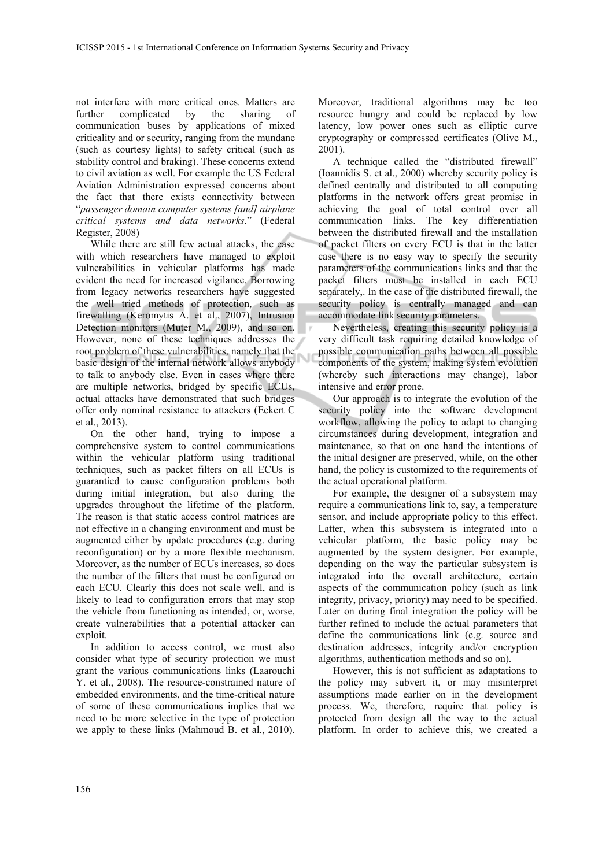not interfere with more critical ones. Matters are further complicated by the sharing of communication buses by applications of mixed criticality and or security, ranging from the mundane (such as courtesy lights) to safety critical (such as stability control and braking). These concerns extend to civil aviation as well. For example the US Federal Aviation Administration expressed concerns about the fact that there exists connectivity between "*passenger domain computer systems [and] airplane critical systems and data networks*." (Federal Register, 2008)

While there are still few actual attacks, the ease with which researchers have managed to exploit vulnerabilities in vehicular platforms has made evident the need for increased vigilance. Borrowing from legacy networks researchers have suggested the well tried methods of protection, such as firewalling (Keromytis A. et al., 2007), Intrusion Detection monitors (Muter M., 2009), and so on. However, none of these techniques addresses the root problem of these vulnerabilities, namely that the basic design of the internal network allows anybody to talk to anybody else. Even in cases where there are multiple networks, bridged by specific ECUs, actual attacks have demonstrated that such bridges offer only nominal resistance to attackers (Eckert C et al., 2013).

On the other hand, trying to impose a comprehensive system to control communications within the vehicular platform using traditional techniques, such as packet filters on all ECUs is guarantied to cause configuration problems both during initial integration, but also during the upgrades throughout the lifetime of the platform. The reason is that static access control matrices are not effective in a changing environment and must be augmented either by update procedures (e.g. during reconfiguration) or by a more flexible mechanism. Moreover, as the number of ECUs increases, so does the number of the filters that must be configured on each ECU. Clearly this does not scale well, and is likely to lead to configuration errors that may stop the vehicle from functioning as intended, or, worse, create vulnerabilities that a potential attacker can exploit.

In addition to access control, we must also consider what type of security protection we must grant the various communications links (Laarouchi Y. et al., 2008). The resource-constrained nature of embedded environments, and the time-critical nature of some of these communications implies that we need to be more selective in the type of protection we apply to these links (Mahmoud B. et al., 2010).

Moreover, traditional algorithms may be too resource hungry and could be replaced by low latency, low power ones such as elliptic curve cryptography or compressed certificates (Olive M., 2001).

A technique called the "distributed firewall" (Ioannidis S. et al., 2000) whereby security policy is defined centrally and distributed to all computing platforms in the network offers great promise in achieving the goal of total control over all communication links. The key differentiation between the distributed firewall and the installation of packet filters on every ECU is that in the latter case there is no easy way to specify the security parameters of the communications links and that the packet filters must be installed in each ECU separately,. In the case of the distributed firewall, the security policy is centrally managed and can accommodate link security parameters.

Nevertheless, creating this security policy is a very difficult task requiring detailed knowledge of possible communication paths between all possible components of the system, making system evolution (whereby such interactions may change), labor intensive and error prone.

Our approach is to integrate the evolution of the security policy into the software development workflow, allowing the policy to adapt to changing circumstances during development, integration and maintenance, so that on one hand the intentions of the initial designer are preserved, while, on the other hand, the policy is customized to the requirements of the actual operational platform.

For example, the designer of a subsystem may require a communications link to, say, a temperature sensor, and include appropriate policy to this effect. Latter, when this subsystem is integrated into a vehicular platform, the basic policy may be augmented by the system designer. For example, depending on the way the particular subsystem is integrated into the overall architecture, certain aspects of the communication policy (such as link integrity, privacy, priority) may need to be specified. Later on during final integration the policy will be further refined to include the actual parameters that define the communications link (e.g. source and destination addresses, integrity and/or encryption algorithms, authentication methods and so on).

However, this is not sufficient as adaptations to the policy may subvert it, or may misinterpret assumptions made earlier on in the development process. We, therefore, require that policy is protected from design all the way to the actual platform. In order to achieve this, we created a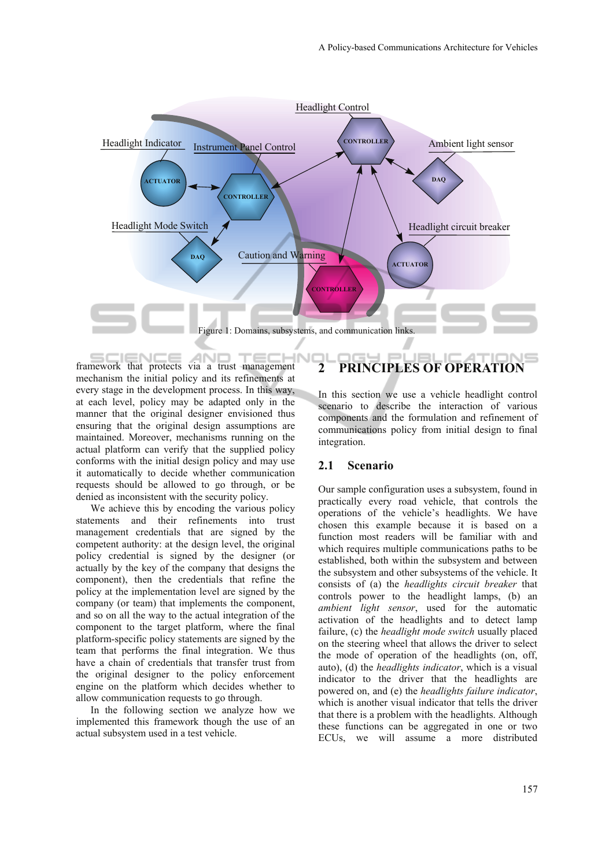

framework that protects via a trust management  $ENC$ mechanism the initial policy and its refinements at every stage in the development process. In this way, at each level, policy may be adapted only in the manner that the original designer envisioned thus ensuring that the original design assumptions are maintained. Moreover, mechanisms running on the actual platform can verify that the supplied policy conforms with the initial design policy and may use it automatically to decide whether communication requests should be allowed to go through, or be denied as inconsistent with the security policy.

We achieve this by encoding the various policy statements and their refinements into trust management credentials that are signed by the competent authority: at the design level, the original policy credential is signed by the designer (or actually by the key of the company that designs the component), then the credentials that refine the policy at the implementation level are signed by the company (or team) that implements the component, and so on all the way to the actual integration of the component to the target platform, where the final platform-specific policy statements are signed by the team that performs the final integration. We thus have a chain of credentials that transfer trust from the original designer to the policy enforcement engine on the platform which decides whether to allow communication requests to go through.

In the following section we analyze how we implemented this framework though the use of an actual subsystem used in a test vehicle.

# **2 PRINCIPLES OF OPERATION**

In this section we use a vehicle headlight control scenario to describe the interaction of various components and the formulation and refinement of communications policy from initial design to final integration.

#### **2.1 Scenario**

Our sample configuration uses a subsystem, found in practically every road vehicle, that controls the operations of the vehicle's headlights. We have chosen this example because it is based on a function most readers will be familiar with and which requires multiple communications paths to be established, both within the subsystem and between the subsystem and other subsystems of the vehicle. It consists of (a) the *headlights circuit breaker* that controls power to the headlight lamps, (b) an *ambient light sensor*, used for the automatic activation of the headlights and to detect lamp failure, (c) the *headlight mode switch* usually placed on the steering wheel that allows the driver to select the mode of operation of the headlights (on, off, auto), (d) the *headlights indicator*, which is a visual indicator to the driver that the headlights are powered on, and (e) the *headlights failure indicator*, which is another visual indicator that tells the driver that there is a problem with the headlights. Although these functions can be aggregated in one or two ECUs, we will assume a more distributed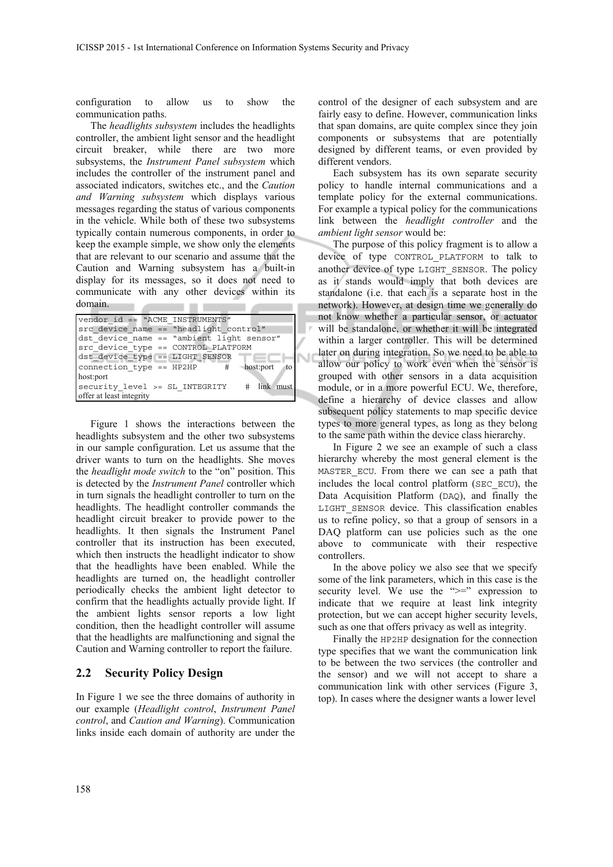configuration to allow us to show the communication paths.

The *headlights subsystem* includes the headlights controller, the ambient light sensor and the headlight circuit breaker, while there are two more subsystems, the *Instrument Panel subsystem* which includes the controller of the instrument panel and associated indicators, switches etc., and the *Caution and Warning subsystem* which displays various messages regarding the status of various components in the vehicle. While both of these two subsystems typically contain numerous components, in order to keep the example simple, we show only the elements that are relevant to our scenario and assume that the Caution and Warning subsystem has a built-in display for its messages, so it does not need to communicate with any other devices within its domain.

| vendor id == "ACME INSTRUMENTS"            |
|--------------------------------------------|
| src device name == "headlight control"     |
| dst device name == "ambient light sensor"  |
| src device type == CONTROL PLATFORM        |
| dst device type == LIGHT SENSOR            |
| connection type == HP2HP<br># host:port to |
| host:port                                  |
| security level >= SL INTEGRITY # link must |
| offer at least integrity                   |

Figure 1 shows the interactions between the headlights subsystem and the other two subsystems in our sample configuration. Let us assume that the driver wants to turn on the headlights. She moves the *headlight mode switch* to the "on" position. This is detected by the *Instrument Panel* controller which in turn signals the headlight controller to turn on the headlights. The headlight controller commands the headlight circuit breaker to provide power to the headlights. It then signals the Instrument Panel controller that its instruction has been executed, which then instructs the headlight indicator to show that the headlights have been enabled. While the headlights are turned on, the headlight controller periodically checks the ambient light detector to confirm that the headlights actually provide light. If the ambient lights sensor reports a low light condition, then the headlight controller will assume that the headlights are malfunctioning and signal the Caution and Warning controller to report the failure.

#### **2.2 Security Policy Design**

In Figure 1 we see the three domains of authority in our example (*Headlight control*, *Instrument Panel control*, and *Caution and Warning*). Communication links inside each domain of authority are under the

control of the designer of each subsystem and are fairly easy to define. However, communication links that span domains, are quite complex since they join components or subsystems that are potentially designed by different teams, or even provided by different vendors.

Each subsystem has its own separate security policy to handle internal communications and a template policy for the external communications. For example a typical policy for the communications link between the *headlight controller* and the *ambient light sensor* would be:

The purpose of this policy fragment is to allow a device of type CONTROL\_PLATFORM to talk to another device of type LIGHT\_SENSOR. The policy as it stands would imply that both devices are standalone (i.e. that each is a separate host in the network). However, at design time we generally do not know whether a particular sensor, or actuator will be standalone, or whether it will be integrated within a larger controller. This will be determined later on during integration. So we need to be able to allow our policy to work even when the sensor is grouped with other sensors in a data acquisition module, or in a more powerful ECU. We, therefore, define a hierarchy of device classes and allow subsequent policy statements to map specific device types to more general types, as long as they belong to the same path within the device class hierarchy.

In Figure 2 we see an example of such a class hierarchy whereby the most general element is the MASTER ECU. From there we can see a path that includes the local control platform (SEC\_ECU), the Data Acquisition Platform (DAQ), and finally the LIGHT SENSOR device. This classification enables us to refine policy, so that a group of sensors in a DAQ platform can use policies such as the one above to communicate with their respective controllers.

In the above policy we also see that we specify some of the link parameters, which in this case is the security level. We use the " $\geq$ " expression to indicate that we require at least link integrity protection, but we can accept higher security levels, such as one that offers privacy as well as integrity.

Finally the HP2HP designation for the connection type specifies that we want the communication link to be between the two services (the controller and the sensor) and we will not accept to share a communication link with other services (Figure 3, top). In cases where the designer wants a lower level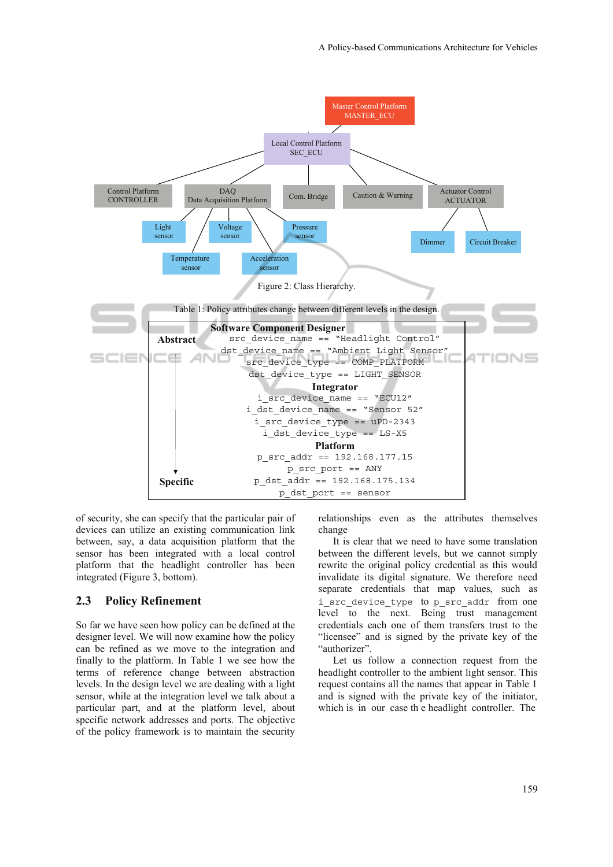

of security, she can specify that the particular pair of devices can utilize an existing communication link between, say, a data acquisition platform that the sensor has been integrated with a local control platform that the headlight controller has been integrated (Figure 3, bottom).

#### **2.3 Policy Refinement**

So far we have seen how policy can be defined at the designer level. We will now examine how the policy can be refined as we move to the integration and finally to the platform. In Table 1 we see how the terms of reference change between abstraction levels. In the design level we are dealing with a light sensor, while at the integration level we talk about a particular part, and at the platform level, about specific network addresses and ports. The objective of the policy framework is to maintain the security relationships even as the attributes themselves change

It is clear that we need to have some translation between the different levels, but we cannot simply rewrite the original policy credential as this would invalidate its digital signature. We therefore need separate credentials that map values, such as i\_src\_device\_type to p\_src\_addr from one level to the next. Being trust management credentials each one of them transfers trust to the "licensee" and is signed by the private key of the "authorizer".

Let us follow a connection request from the headlight controller to the ambient light sensor. This request contains all the names that appear in Table 1 and is signed with the private key of the initiator, which is in our case th e headlight controller. The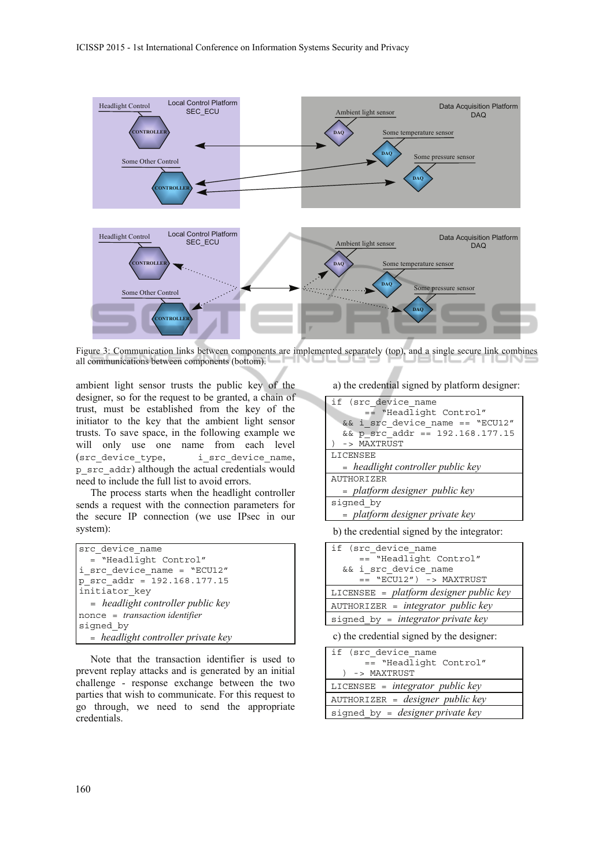

Figure 3: Communication links between components are implemented separately (top), and a single secure link combines all communications between components (bottom).

ambient light sensor trusts the public key of the designer, so for the request to be granted, a chain of trust, must be established from the key of the initiator to the key that the ambient light sensor trusts. To save space, in the following example we will only use one name from each level (src\_device\_type, i\_src\_device\_name, p\_src\_addr) although the actual credentials would need to include the full list to avoid errors.

The process starts when the headlight controller sends a request with the connection parameters for the secure IP connection (we use IPsec in our system):

| src device name                               |
|-----------------------------------------------|
| = "Headlight Control"                         |
| i src device name = "ECU12"                   |
| p src $addr = 192.168.177.15$                 |
| initiator key                                 |
| = headlight controller public key             |
| $\text{none} = \text{transaction identifier}$ |
| signed by                                     |
| = headlight controller private key            |

Note that the transaction identifier is used to prevent replay attacks and is generated by an initial challenge - response exchange between the two parties that wish to communicate. For this request to go through, we need to send the appropriate credentials.

a) the credential signed by platform designer:

| if (src device name                      |
|------------------------------------------|
| == "Headlight Control"                   |
| && i src device name == "ECU12"          |
| $&&p\text{ src } addr == 192.168.177.15$ |
| -> MAXTRUST                              |
| <b>LICENSEE</b>                          |
| $=$ headlight controller public key      |
| <b>AUTHORIZER</b>                        |
| = platform designer public key           |
| signed by                                |
| = platform designer private key          |

b) the credential signed by the integrator:

| if (src device name                       |
|-------------------------------------------|
| == "Headlight Control"                    |
| && i_src_device_name                      |
| $==$ "ECU12") -> MAXTRUST                 |
| LICENSEE = $platform$ designer public key |
| $AUTHORIZER = integrator public key$      |
| signed by = integrator private key        |
|                                           |

c) the credential signed by the designer:

| if (src device name                     |
|-----------------------------------------|
| == "Headlight Control"                  |
| ) -> MAXTRUST                           |
| LICENSEE = $integrator$ public key      |
| $AUTHORIZER = designer public key$      |
| signed by = <i>designer private key</i> |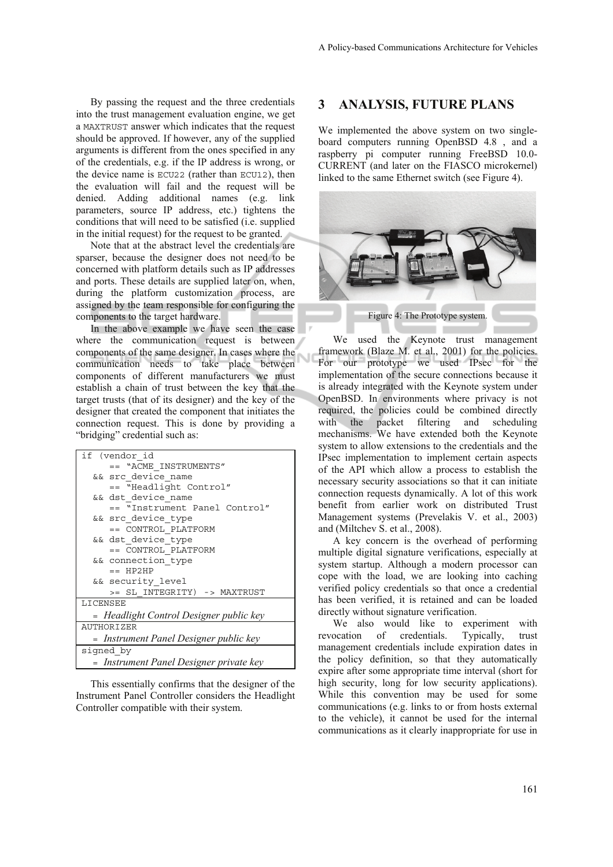By passing the request and the three credentials into the trust management evaluation engine, we get a MAXTRUST answer which indicates that the request should be approved. If however, any of the supplied arguments is different from the ones specified in any of the credentials, e.g. if the IP address is wrong, or the device name is ECU22 (rather than ECU12), then the evaluation will fail and the request will be denied. Adding additional names (e.g. link parameters, source IP address, etc.) tightens the conditions that will need to be satisfied (i.e. supplied in the initial request) for the request to be granted.

Note that at the abstract level the credentials are sparser, because the designer does not need to be concerned with platform details such as IP addresses and ports. These details are supplied later on, when, during the platform customization process, are assigned by the team responsible for configuring the components to the target hardware.

In the above example we have seen the case where the communication request is between components of the same designer. In cases where the communication needs to take place between components of different manufacturers we must establish a chain of trust between the key that the target trusts (that of its designer) and the key of the designer that created the component that initiates the connection request. This is done by providing a "bridging" credential such as:

| if (vendor id                           |
|-----------------------------------------|
| == "ACME INSTRUMENTS"                   |
| && src device name                      |
| == "Headlight Control"                  |
| && dst device name                      |
| == "Instrument Panel Control"           |
| && src device type                      |
| == CONTROL PLATFORM                     |
| && dst device type                      |
| == CONTROL PLATFORM                     |
| && connection type                      |
| $==$ HP2HP                              |
| && security level                       |
| >= SL INTEGRITY) -> MAXTRUST            |
| LICENSEE                                |
| - Headlight Control Designer public key |
| <b>AUTHORIZER</b>                       |
| = Instrument Panel Designer public key  |
| signed by                               |
| = Instrument Panel Designer private key |

This essentially confirms that the designer of the Instrument Panel Controller considers the Headlight Controller compatible with their system.

#### **3 ANALYSIS, FUTURE PLANS**

We implemented the above system on two singleboard computers running OpenBSD 4.8 , and a raspberry pi computer running FreeBSD 10.0- CURRENT (and later on the FIASCO microkernel) linked to the same Ethernet switch (see Figure 4).



We used the Keynote trust management framework (Blaze M. et al., 2001) for the policies. For our prototype we used IPsec for the implementation of the secure connections because it is already integrated with the Keynote system under OpenBSD. In environments where privacy is not required, the policies could be combined directly with the packet filtering and scheduling mechanisms. We have extended both the Keynote system to allow extensions to the credentials and the IPsec implementation to implement certain aspects of the API which allow a process to establish the necessary security associations so that it can initiate connection requests dynamically. A lot of this work benefit from earlier work on distributed Trust Management systems (Prevelakis V. et al., 2003) and (Miltchev S. et al., 2008).

A key concern is the overhead of performing multiple digital signature verifications, especially at system startup. Although a modern processor can cope with the load, we are looking into caching verified policy credentials so that once a credential has been verified, it is retained and can be loaded directly without signature verification.

We also would like to experiment with revocation of credentials. Typically, trust management credentials include expiration dates in the policy definition, so that they automatically expire after some appropriate time interval (short for high security, long for low security applications). While this convention may be used for some communications (e.g. links to or from hosts external to the vehicle), it cannot be used for the internal communications as it clearly inappropriate for use in